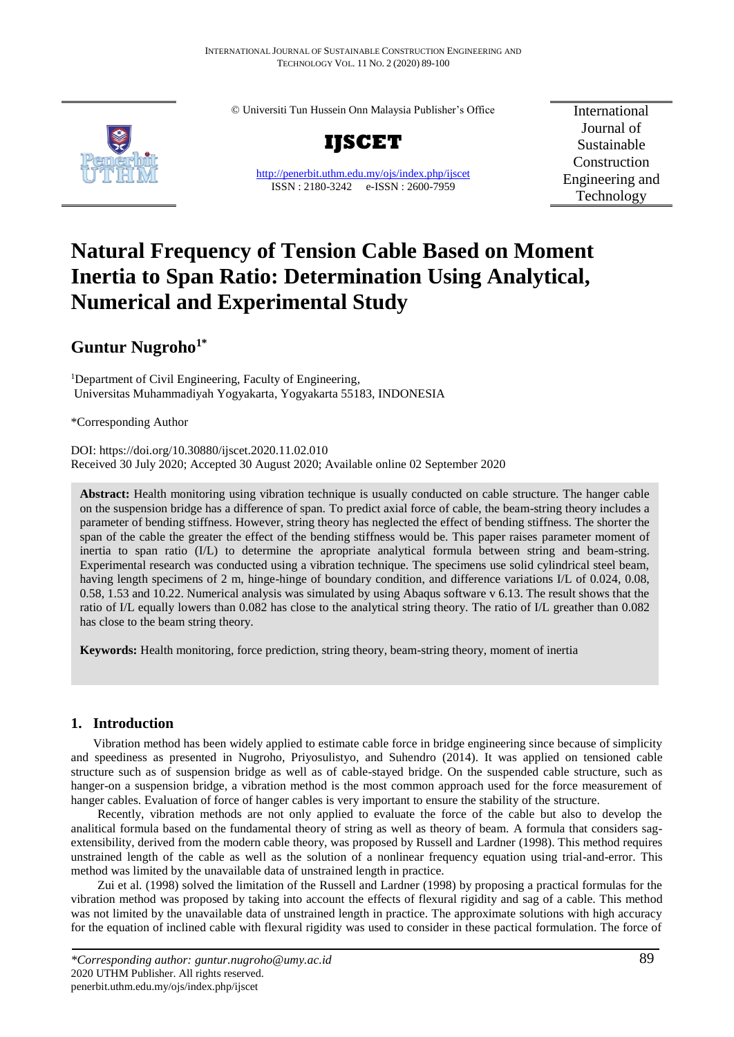© Universiti Tun Hussein Onn Malaysia Publisher's Office



**IJSCET**

<http://penerbit.uthm.edu.my/ojs/index.php/ijscet> ISSN : 2180-3242 e-ISSN : 2600-7959

International Journal of Sustainable Construction Engineering and Technology

# **Natural Frequency of Tension Cable Based on Moment Inertia to Span Ratio: Determination Using Analytical, Numerical and Experimental Study**

## **Guntur Nugroho1\***

<sup>1</sup>Department of Civil Engineering, Faculty of Engineering, Universitas Muhammadiyah Yogyakarta, Yogyakarta 55183, INDONESIA

\*Corresponding Author

DOI: https://doi.org/10.30880/ijscet.2020.11.02.010 Received 30 July 2020; Accepted 30 August 2020; Available online 02 September 2020

**Abstract:** Health monitoring using vibration technique is usually conducted on cable structure. The hanger cable on the suspension bridge has a difference of span. To predict axial force of cable, the beam-string theory includes a parameter of bending stiffness. However, string theory has neglected the effect of bending stiffness. The shorter the span of the cable the greater the effect of the bending stiffness would be. This paper raises parameter moment of inertia to span ratio (I/L) to determine the apropriate analytical formula between string and beam-string. Experimental research was conducted using a vibration technique. The specimens use solid cylindrical steel beam, having length specimens of 2 m, hinge-hinge of boundary condition, and difference variations I/L of 0.024, 0.08, 0.58, 1.53 and 10.22. Numerical analysis was simulated by using Abaqus software v 6.13. The result shows that the ratio of I/L equally lowers than 0.082 has close to the analytical string theory. The ratio of I/L greather than 0.082 has close to the beam string theory.

**Keywords:** Health monitoring, force prediction, string theory, beam-string theory, moment of inertia

## **1. Introduction**

Vibration method has been widely applied to estimate cable force in bridge engineering since because of simplicity and speediness as presented in Nugroho, Priyosulistyo, and Suhendro (2014). It was applied on tensioned cable structure such as of suspension bridge as well as of cable-stayed bridge. On the suspended cable structure, such as hanger-on a suspension bridge, a vibration method is the most common approach used for the force measurement of hanger cables. Evaluation of force of hanger cables is very important to ensure the stability of the structure.

Recently, vibration methods are not only applied to evaluate the force of the cable but also to develop the analitical formula based on the fundamental theory of string as well as theory of beam. A formula that considers sagextensibility, derived from the modern cable theory, was proposed by Russell and Lardner (1998). This method requires unstrained length of the cable as well as the solution of a nonlinear frequency equation using trial-and-error. This method was limited by the unavailable data of unstrained length in practice.

Zui et al. (1998) solved the limitation of the Russell and Lardner (1998) by proposing a practical formulas for the vibration method was proposed by taking into account the effects of flexural rigidity and sag of a cable. This method was not limited by the unavailable data of unstrained length in practice. The approximate solutions with high accuracy for the equation of inclined cable with flexural rigidity was used to consider in these pactical formulation. The force of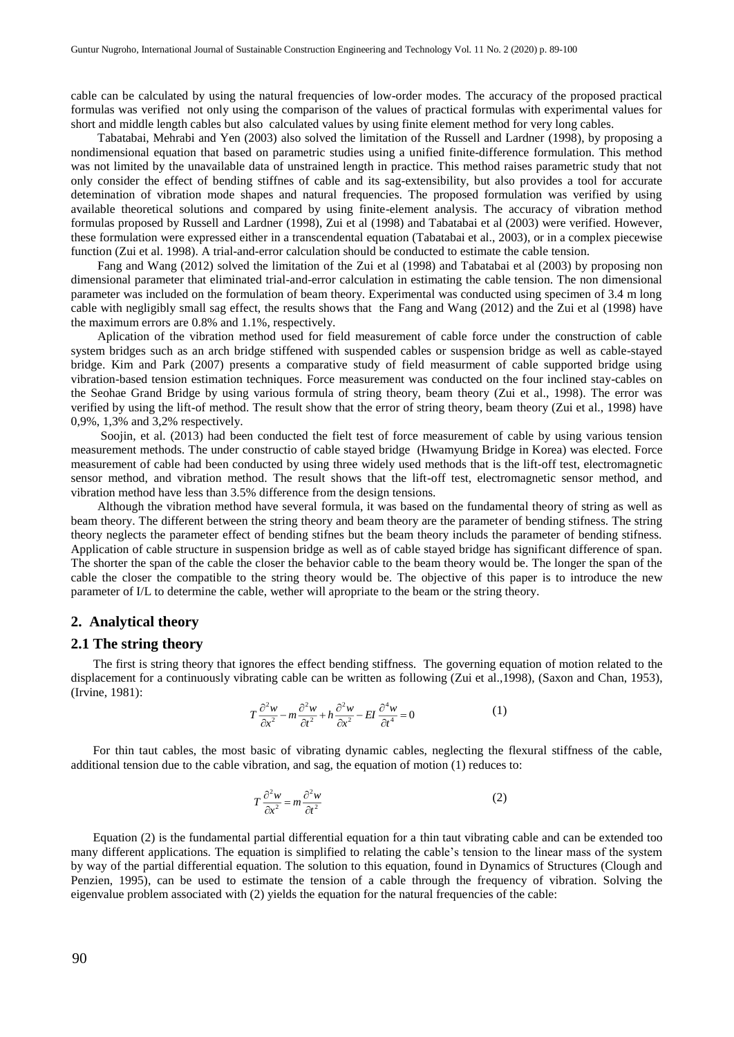cable can be calculated by using the natural frequencies of low-order modes. The accuracy of the proposed practical formulas was verified not only using the comparison of the values of practical formulas with experimental values for short and middle length cables but also calculated values by using finite element method for very long cables.

Tabatabai, Mehrabi and Yen (2003) also solved the limitation of the Russell and Lardner (1998), by proposing a nondimensional equation that based on parametric studies using a unified finite-difference formulation. This method was not limited by the unavailable data of unstrained length in practice. This method raises parametric study that not only consider the effect of bending stiffnes of cable and its sag-extensibility, but also provides a tool for accurate detemination of vibration mode shapes and natural frequencies. The proposed formulation was verified by using available theoretical solutions and compared by using finite-element analysis. The accuracy of vibration method formulas proposed by Russell and Lardner (1998), Zui et al (1998) and Tabatabai et al (2003) were verified. However, these formulation were expressed either in a transcendental equation (Tabatabai et al., 2003), or in a complex piecewise function (Zui et al. 1998). A trial-and-error calculation should be conducted to estimate the cable tension.

Fang and Wang (2012) solved the limitation of the Zui et al (1998) and Tabatabai et al (2003) by proposing non dimensional parameter that eliminated trial-and-error calculation in estimating the cable tension. The non dimensional parameter was included on the formulation of beam theory. Experimental was conducted using specimen of 3.4 m long cable with negligibly small sag effect, the results shows that the Fang and Wang (2012) and the Zui et al (1998) have the maximum errors are 0.8% and 1.1%, respectively.

Aplication of the vibration method used for field measurement of cable force under the construction of cable system bridges such as an arch bridge stiffened with suspended cables or suspension bridge as well as cable-stayed bridge. Kim and Park (2007) presents a comparative study of field measurment of cable supported bridge using vibration-based tension estimation techniques. Force measurement was conducted on the four inclined stay-cables on the Seohae Grand Bridge by using various formula of string theory, beam theory (Zui et al., 1998). The error was verified by using the lift-of method. The result show that the error of string theory, beam theory (Zui et al., 1998) have 0,9%, 1,3% and 3,2% respectively.

Soojin, et al. (2013) had been conducted the fielt test of force measurement of cable by using various tension measurement methods. The under constructio of cable stayed bridge (Hwamyung Bridge in Korea) was elected. Force measurement of cable had been conducted by using three widely used methods that is the lift-off test, electromagnetic sensor method, and vibration method. The result shows that the lift-off test, electromagnetic sensor method, and vibration method have less than 3.5% difference from the design tensions.

Although the vibration method have several formula, it was based on the fundamental theory of string as well as beam theory. The different between the string theory and beam theory are the parameter of bending stifness. The string theory neglects the parameter effect of bending stifnes but the beam theory includs the parameter of bending stifness. Application of cable structure in suspension bridge as well as of cable stayed bridge has significant difference of span. The shorter the span of the cable the closer the behavior cable to the beam theory would be. The longer the span of the cable the closer the compatible to the string theory would be. The objective of this paper is to introduce the new parameter of I/L to determine the cable, wether will apropriate to the beam or the string theory.

#### **2. Analytical theory**

#### **2.1 The string theory**

The first is string theory that ignores the effect bending stiffness. The governing equation of motion related to the displacement for a continuously vibrating cable can be written as following (Zui et al.,1998), (Saxon and Chan, 1953), (Irvine, 1981):

$$
T\frac{\partial^2 w}{\partial x^2} - m\frac{\partial^2 w}{\partial t^2} + h\frac{\partial^2 w}{\partial x^2} - EI\frac{\partial^4 w}{\partial t^4} = 0
$$
 (1)

For thin taut cables, the most basic of vibrating dynamic cables, neglecting the flexural stiffness of the cable, additional tension due to the cable vibration, and sag, the equation of motion (1) reduces to:

$$
T\frac{\partial^2 w}{\partial x^2} = m\frac{\partial^2 w}{\partial t^2}
$$
 (2)

Equation (2) is the fundamental partial differential equation for a thin taut vibrating cable and can be extended too many different applications. The equation is simplified to relating the cable's tension to the linear mass of the system by way of the partial differential equation. The solution to this equation, found in Dynamics of Structures (Clough and Penzien, 1995), can be used to estimate the tension of a cable through the frequency of vibration. Solving the eigenvalue problem associated with (2) yields the equation for the natural frequencies of the cable: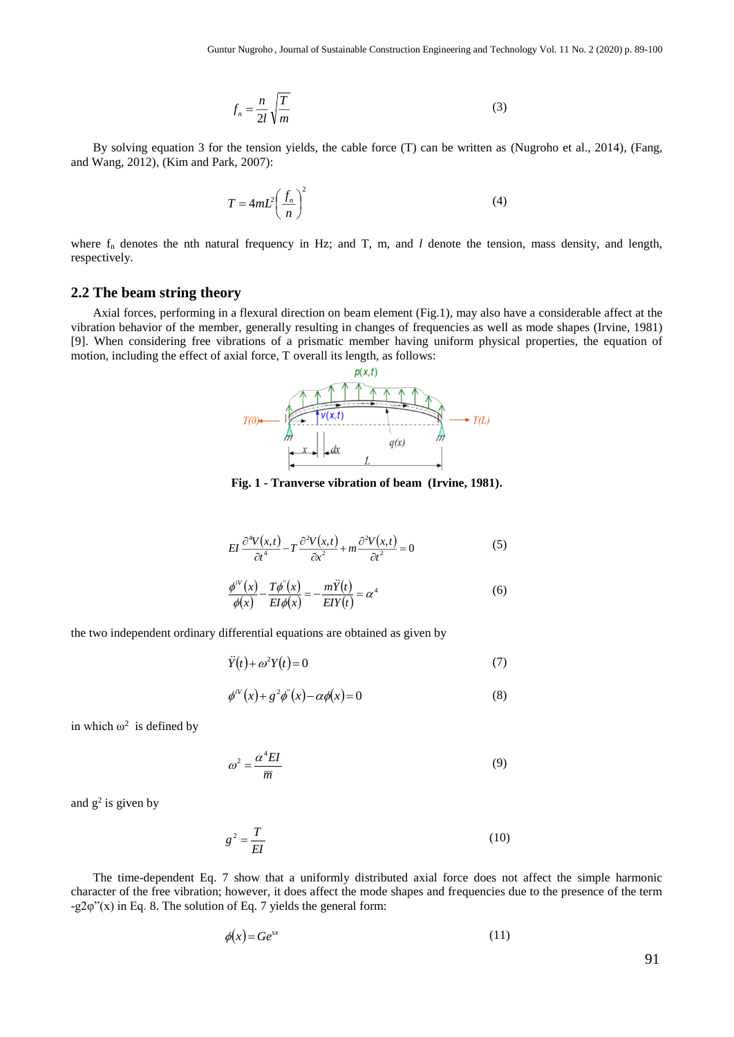$$
f_n = \frac{n}{2l} \sqrt{\frac{T}{m}}
$$
 (3)

By solving equation 3 for the tension yields, the cable force (T) can be written as (Nugroho et al., 2014), (Fang, and Wang, 2012), (Kim and Park, 2007):

$$
T = 4mL^2 \left(\frac{f_n}{n}\right)^2\tag{4}
$$

where  $f_n$  denotes the nth natural frequency in Hz; and T, m, and *l* denote the tension, mass density, and length, respectively.

#### **2.2 The beam string theory**

Axial forces, performing in a flexural direction on beam element (Fig.1), may also have a considerable affect at the vibration behavior of the member, generally resulting in changes of frequencies as well as mode shapes (Irvine, 1981) [9]. When considering free vibrations of a prismatic member having uniform physical properties, the equation of motion, including the effect of axial force, T overall its length, as follows:



**Fig. 1 - Tranverse vibration of beam (Irvine, 1981).**

$$
EI \frac{\partial^4 V(x,t)}{\partial t^4} - T \frac{\partial^2 V(x,t)}{\partial x^2} + m \frac{\partial^2 V(x,t)}{\partial t^2} = 0
$$
 (5)

$$
\frac{\phi^{iv}(x)}{\phi(x)} - \frac{T\phi^{i}(x)}{EI\phi(x)} = -\frac{m\ddot{Y}(t)}{EIY(t)} = \alpha^{4}
$$
\n(6)

the two independent ordinary differential equations are obtained as given by

$$
\ddot{Y}(t) + \omega^2 Y(t) = 0\tag{7}
$$

$$
\phi^{iv}(x) + g^2 \phi^{v}(x) - \alpha \phi(x) = 0 \tag{8}
$$

in which  $\omega^2$  is defined by

$$
\omega^2 = \frac{\alpha^4 EI}{\overline{m}}\tag{9}
$$

and  $g^2$  is given by

$$
g^2 = \frac{T}{EI} \tag{10}
$$

The time-dependent Eq. 7 show that a uniformly distributed axial force does not affect the simple harmonic character of the free vibration; however, it does affect the mode shapes and frequencies due to the presence of the term  $-g2\varphi''(x)$  in Eq. 8. The solution of Eq. 7 yields the general form:

$$
\phi(x) = Ge^{sx} \tag{11}
$$

91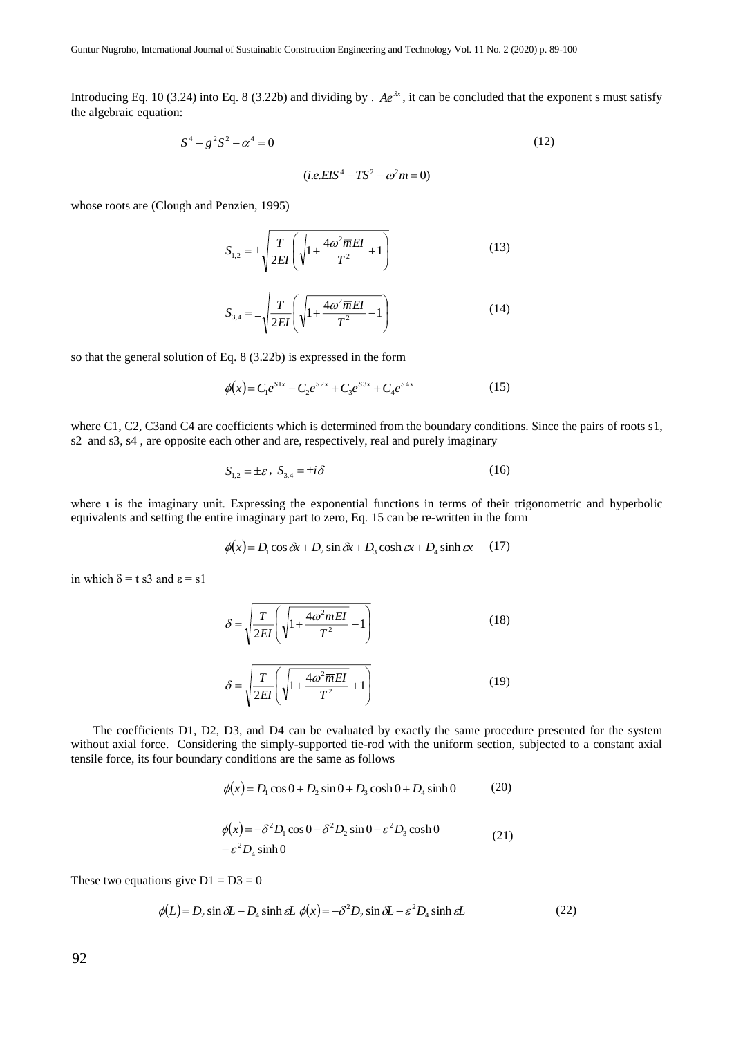Introducing Eq. 10 (3.24) into Eq. 8 (3.22b) and dividing by .  $Ae^{\lambda x}$ , it can be concluded that the exponent s must satisfy the algebraic equation:

$$
S^4 - g^2 S^2 - \alpha^4 = 0 \tag{12}
$$

 $(i.e. EIS^4 - TS^2 - \omega^2 m = 0)$ 

whose roots are (Clough and Penzien, 1995)

$$
S_{1,2} = \pm \sqrt{\frac{T}{2EI} \left( \sqrt{1 + \frac{4\omega^2 \overline{m}EI}{T^2} + 1} \right)}
$$
(13)

$$
S_{3,4} = \pm \sqrt{\frac{T}{2EI} \left( \sqrt{1 + \frac{4\omega^2 \overline{m}EI}{T^2} - 1} \right)}
$$
(14)

so that the general solution of Eq. 8 (3.22b) is expressed in the form

$$
\phi(x) = C_1 e^{S1x} + C_2 e^{S2x} + C_3 e^{S3x} + C_4 e^{S4x}
$$
\n(15)

where C1, C2, C3and C4 are coefficients which is determined from the boundary conditions. Since the pairs of roots s1, s2 and s3, s4 , are opposite each other and are, respectively, real and purely imaginary

$$
S_{1,2} = \pm \varepsilon, \ S_{3,4} = \pm i\delta \tag{16}
$$

where ι is the imaginary unit. Expressing the exponential functions in terms of their trigonometric and hyperbolic equivalents and setting the entire imaginary part to zero, Eq. 15 can be re-written in the form

$$
\phi(x) = D_1 \cos \delta x + D_2 \sin \delta x + D_3 \cosh \epsilon x + D_4 \sinh \epsilon x \qquad (17)
$$

in which  $\delta = t$  s3 and  $\epsilon = s1$ 

$$
\delta = \sqrt{\frac{T}{2EI} \left( \sqrt{1 + \frac{4\omega^2 \overline{m}EI}{T^2}} - 1 \right)}
$$
(18)

$$
\delta = \sqrt{\frac{T}{2EI} \left( \sqrt{1 + \frac{4\omega^2 \overline{m}EI}{T^2}} + 1 \right)}
$$
(19)

The coefficients D1, D2, D3, and D4 can be evaluated by exactly the same procedure presented for the system without axial force. Considering the simply-supported tie-rod with the uniform section, subjected to a constant axial tensile force, its four boundary conditions are the same as follows

$$
\phi(x) = D_1 \cos 0 + D_2 \sin 0 + D_3 \cosh 0 + D_4 \sinh 0
$$
 (20)

$$
\phi(x) = -\delta^2 D_1 \cos 0 - \delta^2 D_2 \sin 0 - \varepsilon^2 D_3 \cosh 0
$$
\n
$$
- \varepsilon^2 D_4 \sinh 0 \tag{21}
$$

These two equations give  $D1 = D3 = 0$ 

$$
\phi(L) = D_2 \sin \delta L - D_4 \sinh \epsilon L \, \phi(x) = -\delta^2 D_2 \sin \delta L - \epsilon^2 D_4 \sinh \epsilon L \tag{22}
$$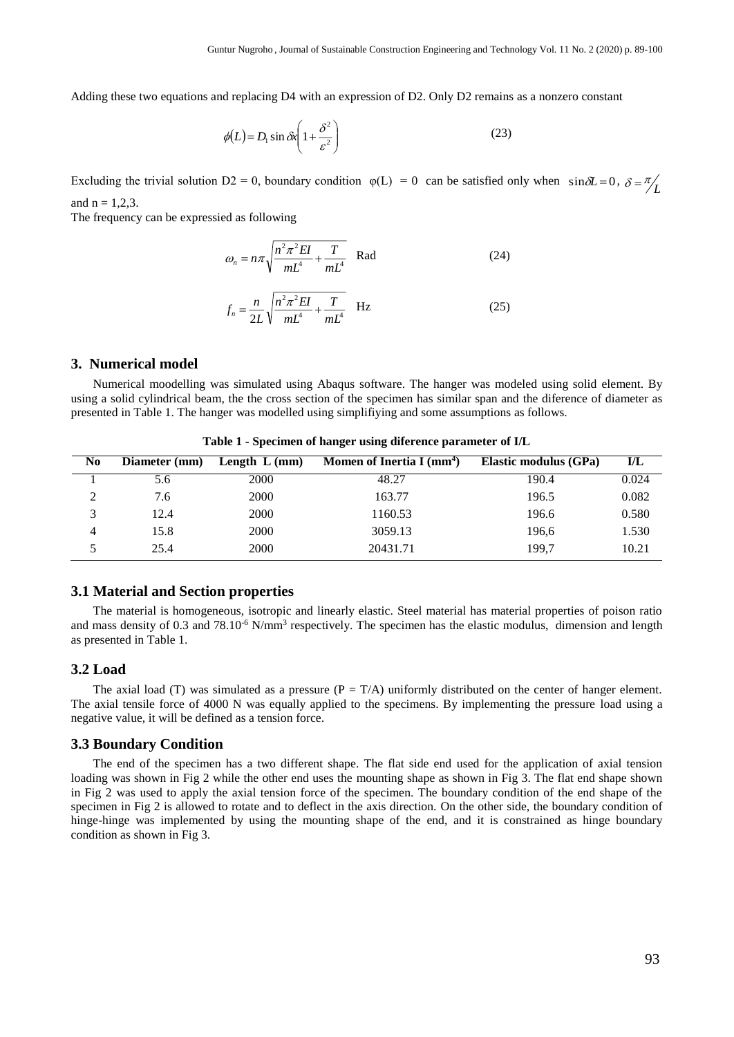Adding these two equations and replacing D4 with an expression of D2. Only D2 remains as a nonzero constant

$$
\phi(L) = D_1 \sin \delta x \left( 1 + \frac{\delta^2}{\varepsilon^2} \right) \tag{23}
$$

Excluding the trivial solution  $D2 = 0$ , boundary condition  $\varphi(L) = 0$  can be satisfied only when  $\sin \delta L = 0$ ,  $\delta = \frac{\pi}{L}$ and  $n = 1, 2, 3$ .

The frequency can be expressied as following

$$
\omega_n = n\pi \sqrt{\frac{n^2 \pi^2 EI}{mL^4} + \frac{T}{mL^4}} \quad \text{Rad} \tag{24}
$$

$$
f_n = \frac{n}{2L} \sqrt{\frac{n^2 \pi^2 EI}{mL^4} + \frac{T}{mL^4}} \quad \text{Hz}
$$
 (25)

#### **3. Numerical model**

Numerical moodelling was simulated using Abaqus software. The hanger was modeled using solid element. By using a solid cylindrical beam, the the cross section of the specimen has similar span and the diference of diameter as presented in Table 1. The hanger was modelled using simplifiying and some assumptions as follows.

| N <sub>0</sub> | Diameter (mm) | Length $L$ (mm) | Momen of Inertia I $(mm4)$ | Elastic modulus (GPa) | $\mathbf{I}/\mathbf{L}$ |
|----------------|---------------|-----------------|----------------------------|-----------------------|-------------------------|
|                | 5.6           | 2000            | 48.27                      | 190.4                 | 0.024                   |
|                | 7.6           | 2000            | 163.77                     | 196.5                 | 0.082                   |
|                | 12.4          | 2000            | 1160.53                    | 196.6                 | 0.580                   |
| 4              | 15.8          | 2000            | 3059.13                    | 196,6                 | 1.530                   |
|                | 25.4          | 2000            | 20431.71                   | 199.7                 | 10.21                   |

**Table 1 - Specimen of hanger using diference parameter of I/L**

#### **3.1 Material and Section properties**

The material is homogeneous, isotropic and linearly elastic. Steel material has material properties of poison ratio and mass density of 0.3 and 78.10<sup>-6</sup> N/mm<sup>3</sup> respectively. The specimen has the elastic modulus, dimension and length as presented in Table 1.

### **3.2 Load**

The axial load (T) was simulated as a pressure  $(P = T/A)$  uniformly distributed on the center of hanger element. The axial tensile force of 4000 N was equally applied to the specimens. By implementing the pressure load using a negative value, it will be defined as a tension force.

#### **3.3 Boundary Condition**

The end of the specimen has a two different shape. The flat side end used for the application of axial tension loading was shown in Fig 2 while the other end uses the mounting shape as shown in Fig 3. The flat end shape shown in Fig 2 was used to apply the axial tension force of the specimen. The boundary condition of the end shape of the specimen in Fig 2 is allowed to rotate and to deflect in the axis direction. On the other side, the boundary condition of hinge-hinge was implemented by using the mounting shape of the end, and it is constrained as hinge boundary condition as shown in Fig 3.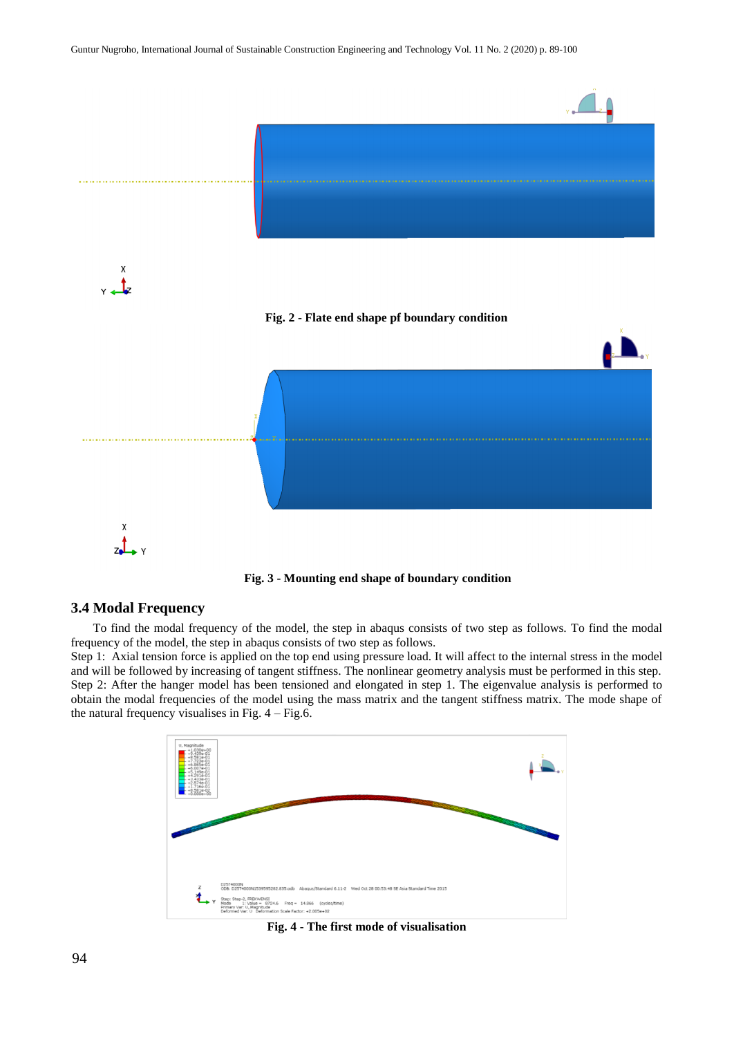



## **3.4 Modal Frequency**

To find the modal frequency of the model, the step in abaqus consists of two step as follows. To find the modal frequency of the model, the step in abaqus consists of two step as follows.

Step 1: Axial tension force is applied on the top end using pressure load. It will affect to the internal stress in the model and will be followed by increasing of tangent stiffness. The nonlinear geometry analysis must be performed in this step. Step 2: After the hanger model has been tensioned and elongated in step 1. The eigenvalue analysis is performed to obtain the modal frequencies of the model using the mass matrix and the tangent stiffness matrix. The mode shape of the natural frequency visualises in Fig.  $4 -$  Fig. 6.



**Fig. 4 - The first mode of visualisation**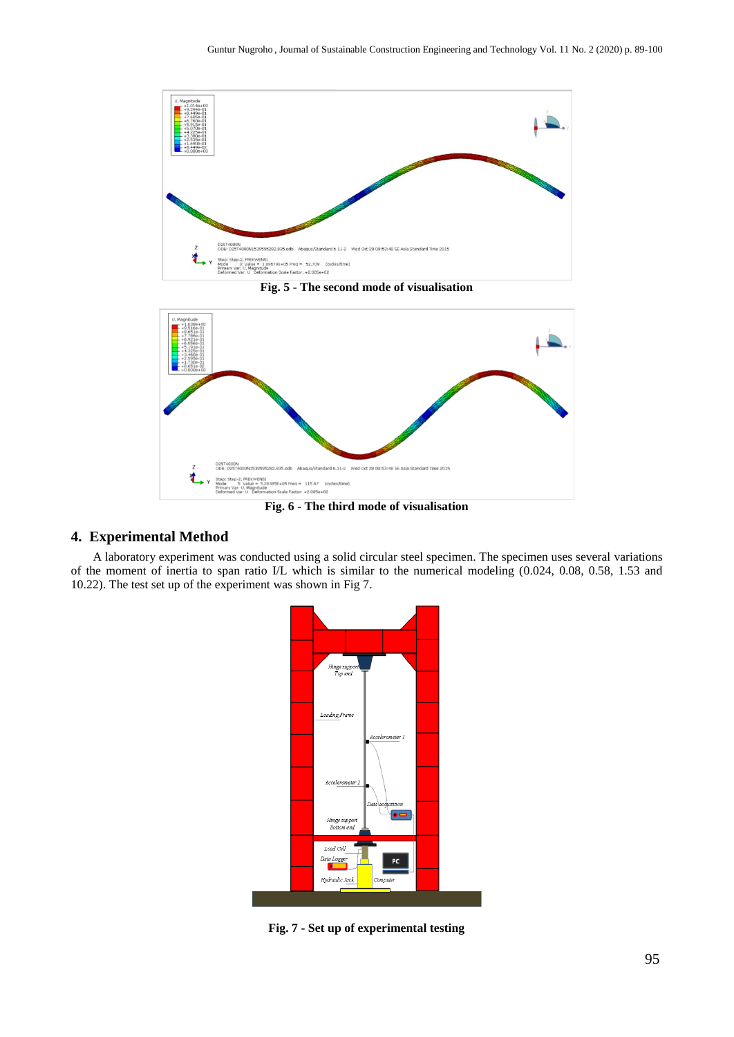

**Fig. 5 - The second mode of visualisation**



**Fig. 6 - The third mode of visualisation**

## **4. Experimental Method**

A laboratory experiment was conducted using a solid circular steel specimen. The specimen uses several variations of the moment of inertia to span ratio I/L which is similar to the numerical modeling (0.024, 0.08, 0.58, 1.53 and 10.22). The test set up of the experiment was shown in Fig 7.



**Fig. 7 - Set up of experimental testing**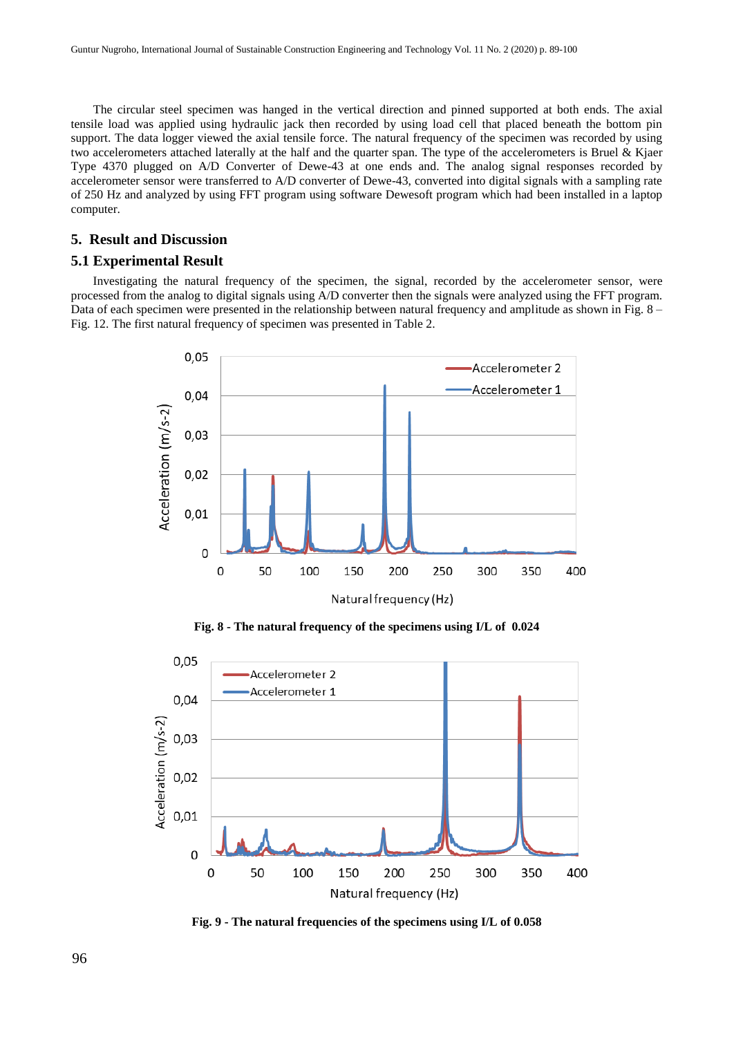The circular steel specimen was hanged in the vertical direction and pinned supported at both ends. The axial tensile load was applied using hydraulic jack then recorded by using load cell that placed beneath the bottom pin support. The data logger viewed the axial tensile force. The natural frequency of the specimen was recorded by using two accelerometers attached laterally at the half and the quarter span. The type of the accelerometers is Bruel & Kjaer Type 4370 plugged on A/D Converter of Dewe-43 at one ends and. The analog signal responses recorded by accelerometer sensor were transferred to A/D converter of Dewe-43, converted into digital signals with a sampling rate of 250 Hz and analyzed by using FFT program using software Dewesoft program which had been installed in a laptop computer.

## **5. Result and Discussion**

#### **5.1 Experimental Result**

Investigating the natural frequency of the specimen, the signal, recorded by the accelerometer sensor, were processed from the analog to digital signals using A/D converter then the signals were analyzed using the FFT program. Data of each specimen were presented in the relationship between natural frequency and amplitude as shown in Fig. 8 – Fig. 12. The first natural frequency of specimen was presented in Table 2.



**Fig. 8 - The natural frequency of the specimens using I/L of 0.024**



**Fig. 9 - The natural frequencies of the specimens using I/L of 0.058**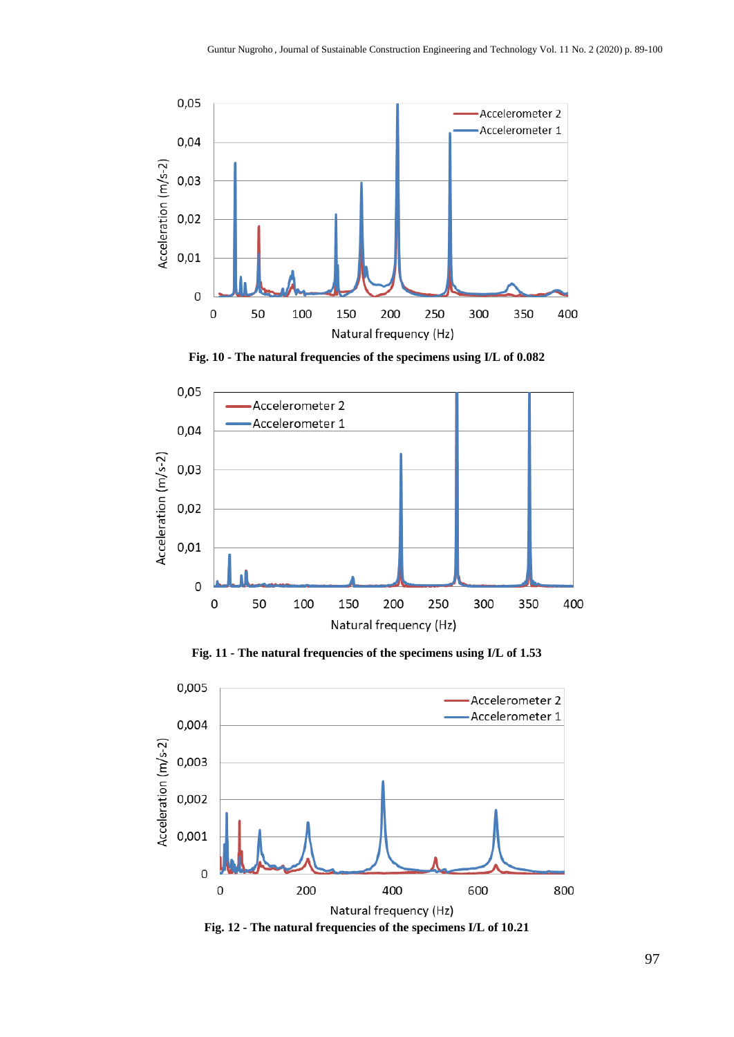

**Fig. 10 - The natural frequencies of the specimens using I/L of 0.082**



**Fig. 11 - The natural frequencies of the specimens using I/L of 1.53**



**Fig. 12 - The natural frequencies of the specimens I/L of 10.21**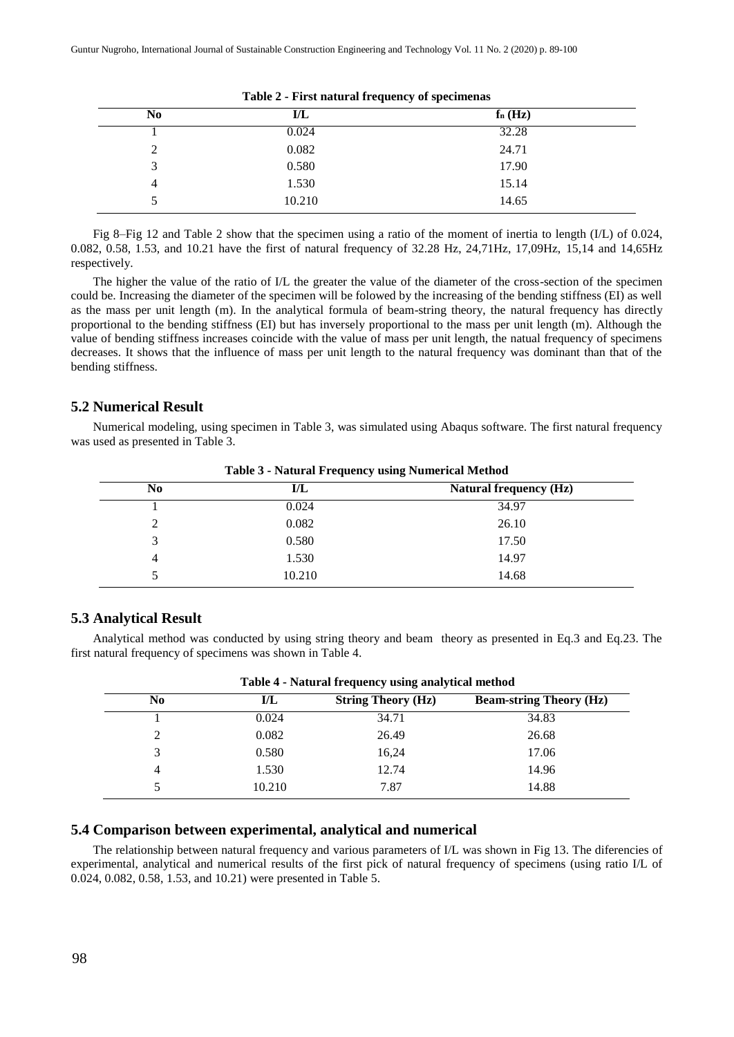| N <sub>0</sub> | I/L    | $f_n(Hz)$ |  |
|----------------|--------|-----------|--|
|                | 0.024  | 32.28     |  |
| 2              | 0.082  | 24.71     |  |
| 3              | 0.580  | 17.90     |  |
| 4              | 1.530  | 15.14     |  |
|                | 10.210 | 14.65     |  |

**Table 2 - First natural frequency of specimenas**

Fig 8–Fig 12 and Table 2 show that the specimen using a ratio of the moment of inertia to length (I/L) of 0.024, 0.082, 0.58, 1.53, and 10.21 have the first of natural frequency of 32.28 Hz, 24,71Hz, 17,09Hz, 15,14 and 14,65Hz respectively.

The higher the value of the ratio of I/L the greater the value of the diameter of the cross-section of the specimen could be. Increasing the diameter of the specimen will be folowed by the increasing of the bending stiffness (EI) as well as the mass per unit length (m). In the analytical formula of beam-string theory, the natural frequency has directly proportional to the bending stiffness (EI) but has inversely proportional to the mass per unit length (m). Although the value of bending stiffness increases coincide with the value of mass per unit length, the natual frequency of specimens decreases. It shows that the influence of mass per unit length to the natural frequency was dominant than that of the bending stiffness.

#### **5.2 Numerical Result**

Numerical modeling, using specimen in Table 3, was simulated using Abaqus software. The first natural frequency was used as presented in Table 3.

| - -    |                               |  |  |  |
|--------|-------------------------------|--|--|--|
| I/L    | <b>Natural frequency (Hz)</b> |  |  |  |
| 0.024  | 34.97                         |  |  |  |
| 0.082  | 26.10                         |  |  |  |
| 0.580  | 17.50                         |  |  |  |
| 1.530  | 14.97                         |  |  |  |
| 10.210 | 14.68                         |  |  |  |
|        | -                             |  |  |  |

**Table 3 - Natural Frequency using Numerical Method**

#### **5.3 Analytical Result**

Analytical method was conducted by using string theory and beam theory as presented in Eq.3 and Eq.23. The first natural frequency of specimens was shown in Table 4.

| Table + - Ratural frequency using analytical includu |                           |                                |  |  |  |
|------------------------------------------------------|---------------------------|--------------------------------|--|--|--|
| I/L                                                  | <b>String Theory (Hz)</b> | <b>Beam-string Theory (Hz)</b> |  |  |  |
| 0.024                                                | 34.71                     | 34.83                          |  |  |  |
| 0.082                                                | 26.49                     | 26.68                          |  |  |  |
| 0.580                                                | 16,24                     | 17.06                          |  |  |  |
| 1.530                                                | 12.74                     | 14.96                          |  |  |  |
| 10.210                                               | 7.87                      | 14.88                          |  |  |  |
|                                                      |                           |                                |  |  |  |

## **Table 4 - Natural frequency using analytical method**

## **5.4 Comparison between experimental, analytical and numerical**

The relationship between natural frequency and various parameters of I/L was shown in Fig 13. The diferencies of experimental, analytical and numerical results of the first pick of natural frequency of specimens (using ratio I/L of 0.024, 0.082, 0.58, 1.53, and 10.21) were presented in Table 5.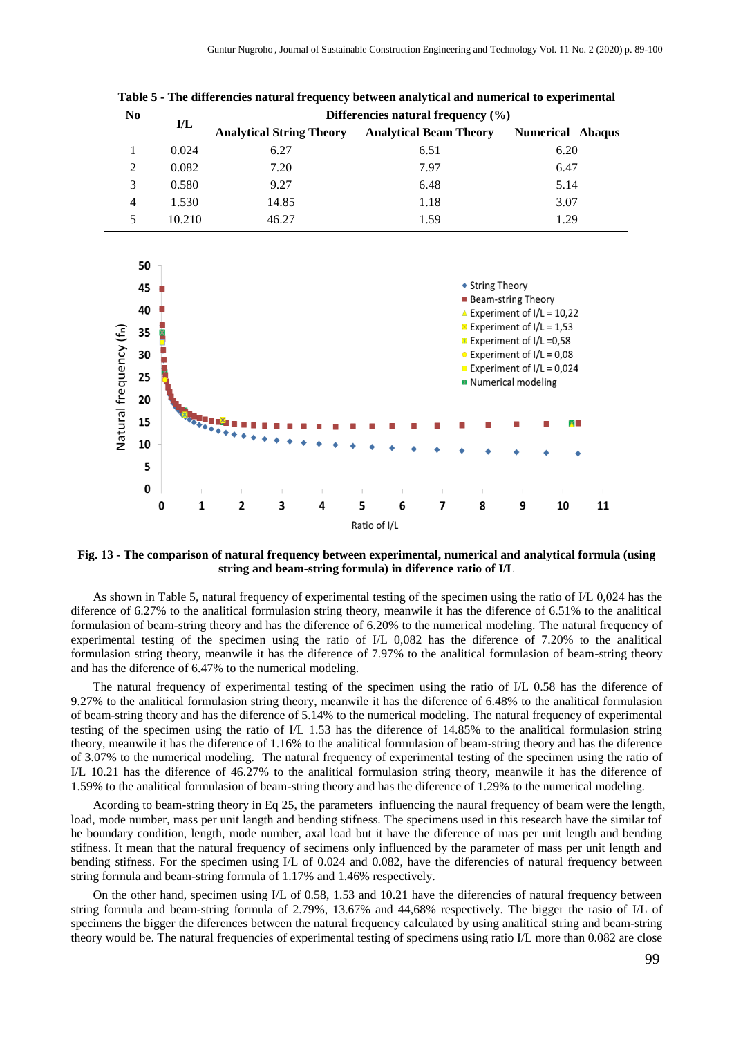| N <sub>0</sub> |        | Differencies natural frequency (%) |                               |                         |  |
|----------------|--------|------------------------------------|-------------------------------|-------------------------|--|
|                | I/L    | <b>Analytical String Theory</b>    | <b>Analytical Beam Theory</b> | <b>Numerical Abaqus</b> |  |
|                | 0.024  | 6.27                               | 6.51                          | 6.20                    |  |
| $\mathcal{D}$  | 0.082  | 7.20                               | 7.97                          | 6.47                    |  |
| 3              | 0.580  | 9.27                               | 6.48                          | 5.14                    |  |
| 4              | 1.530  | 14.85                              | 1.18                          | 3.07                    |  |
|                | 10.210 | 46.27                              | 1.59                          | 1.29                    |  |

**Table 5 - The differencies natural frequency between analytical and numerical to experimental**



**Fig. 13 - The comparison of natural frequency between experimental, numerical and analytical formula (using string and beam-string formula) in diference ratio of I/L**

As shown in Table 5, natural frequency of experimental testing of the specimen using the ratio of I/L 0,024 has the diference of 6.27% to the analitical formulasion string theory, meanwile it has the diference of 6.51% to the analitical formulasion of beam-string theory and has the diference of 6.20% to the numerical modeling. The natural frequency of experimental testing of the specimen using the ratio of I/L 0,082 has the diference of 7.20% to the analitical formulasion string theory, meanwile it has the diference of 7.97% to the analitical formulasion of beam-string theory and has the diference of 6.47% to the numerical modeling.

The natural frequency of experimental testing of the specimen using the ratio of I/L 0.58 has the diference of 9.27% to the analitical formulasion string theory, meanwile it has the diference of 6.48% to the analitical formulasion of beam-string theory and has the diference of 5.14% to the numerical modeling. The natural frequency of experimental testing of the specimen using the ratio of I/L 1.53 has the diference of 14.85% to the analitical formulasion string theory, meanwile it has the diference of 1.16% to the analitical formulasion of beam-string theory and has the diference of 3.07% to the numerical modeling. The natural frequency of experimental testing of the specimen using the ratio of I/L 10.21 has the diference of 46.27% to the analitical formulasion string theory, meanwile it has the diference of 1.59% to the analitical formulasion of beam-string theory and has the diference of 1.29% to the numerical modeling.

Acording to beam-string theory in Eq 25, the parameters influencing the naural frequency of beam were the length, load, mode number, mass per unit langth and bending stifness. The specimens used in this research have the similar tof he boundary condition, length, mode number, axal load but it have the diference of mas per unit length and bending stifness. It mean that the natural frequency of secimens only influenced by the parameter of mass per unit length and bending stifness. For the specimen using I/L of 0.024 and 0.082, have the diferencies of natural frequency between string formula and beam-string formula of 1.17% and 1.46% respectively.

On the other hand, specimen using I/L of 0.58, 1.53 and 10.21 have the diferencies of natural frequency between string formula and beam-string formula of 2.79%, 13.67% and 44,68% respectively. The bigger the rasio of I/L of specimens the bigger the diferences between the natural frequency calculated by using analitical string and beam-string theory would be. The natural frequencies of experimental testing of specimens using ratio I/L more than 0.082 are close